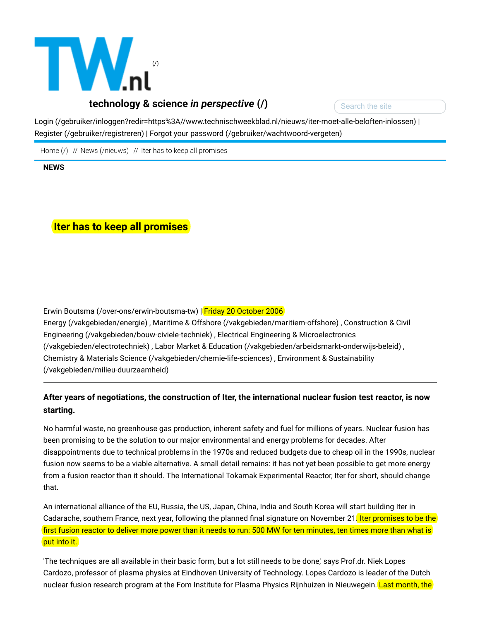

Search the site

[Login \(/gebruiker/inloggen?redir=https%3A//www.technischweekblad.nl/nieuws/iter-moet-alle-beloften-inlossen\)](https://www.technischweekblad.nl/gebruiker/inloggen?redir=https%3A//www.technischweekblad.nl/nieuws/iter-moet-alle-beloften-inlossen) | [Register \(/gebruiker/registreren\)](https://www.technischweekblad.nl/gebruiker/registreren) | [Forgot your password \(/gebruiker/wachtwoord-vergeten\)](https://www.technischweekblad.nl/gebruiker/wachtwoord-vergeten)

[Home \(/\)](https://www.technischweekblad.nl/) // [News \(/nieuws\)](https://www.technischweekblad.nl/nieuws) // Iter has to keep all promises

NEWS

# Iter has to keep all promises

[Erwin Boutsma \(/over-ons/erwin-boutsma-tw\)](https://www.technischweekblad.nl/over-ons/erwin-boutsma-tw) | Friday 20 October 2006 [Energy \(/vakgebieden/energie\) , Maritime & Offshore \(/vakgebieden/maritiem-offshore\) , Construction & Civil](https://www.technischweekblad.nl/vakgebieden/bouw-civiele-techniek) [Engineering \(/vakgebieden/bouw-civiele-techniek\) , Electrical Engineering & Microelectronics](https://www.technischweekblad.nl/vakgebieden/electrotechniek) (/vakgebieden/electrotechniek) , [Labor Market & Education \(/vakgebieden/arbeidsmarkt-onderwijs-beleid\)](https://www.technischweekblad.nl/vakgebieden/arbeidsmarkt-onderwijs-beleid) , [Chemistry & Materials Science \(/vakgebieden/chemie-life-sciences\) , Environment & Sustainability](https://www.technischweekblad.nl/vakgebieden/milieu-duurzaamheid) (/vakgebieden/milieu-duurzaamheid)

## After years of negotiations, the construction of Iter, the international nuclear fusion test reactor, is now starting.

No harmful waste, no greenhouse gas production, inherent safety and fuel for millions of years. Nuclear fusion has been promising to be the solution to our major environmental and energy problems for decades. After disappointments due to technical problems in the 1970s and reduced budgets due to cheap oil in the 1990s, nuclear fusion now seems to be a viable alternative. A small detail remains: it has not yet been possible to get more energy from a fusion reactor than it should. The International Tokamak Experimental Reactor, Iter for short, should change that.

An international alliance of the EU, Russia, the US, Japan, China, India and South Korea will start building Iter in Cadarache, southern France, next year, following the planned final signature on November 21. Iter promises to be the first fusion reactor to deliver more power than it needs to run: 500 MW for ten minutes, ten times more than what is put into it.

'The techniques are all available in their basic form, but a lot still needs to be done,' says Prof.dr. Niek Lopes Cardozo, professor of plasma physics at Eindhoven University of Technology. Lopes Cardozo is leader of the Dutch nuclear fusion research program at the Fom Institute for Plasma Physics Rijnhuizen in Nieuwegein. Last month, the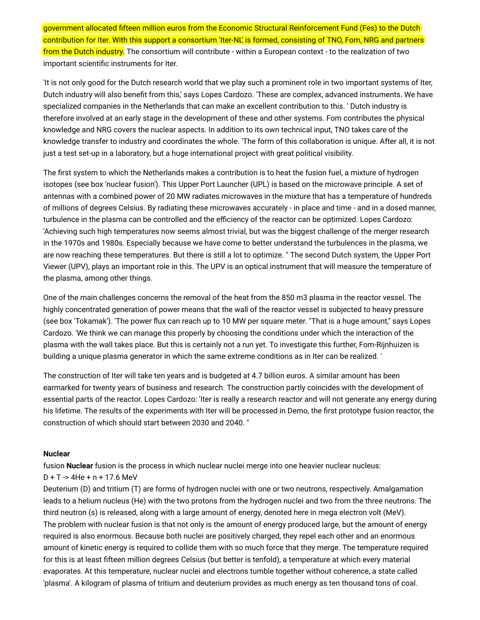government allocated fifteen million euros from the Economic Structural Reinforcement Fund (Fes) to the Dutch contribution for Iter. With this support a consortium 'Iter-NL' is formed, consisting of TNO, Fom, NRG and partners from the Dutch industry. The consortium will contribute - within a European context - to the realization of two important scientific instruments for Iter.

'It is not only good for the Dutch research world that we play such a prominent role in two important systems of Iter, Dutch industry will also benefit from this,' says Lopes Cardozo. 'These are complex, advanced instruments. We have specialized companies in the Netherlands that can make an excellent contribution to this. ' Dutch industry is therefore involved at an early stage in the development of these and other systems. Fom contributes the physical knowledge and NRG covers the nuclear aspects. In addition to its own technical input, TNO takes care of the knowledge transfer to industry and coordinates the whole. 'The form of this collaboration is unique. After all, it is not just a test set-up in a laboratory, but a huge international project with great political visibility.

The first system to which the Netherlands makes a contribution is to heat the fusion fuel, a mixture of hydrogen isotopes (see box 'nuclear fusion'). This Upper Port Launcher (UPL) is based on the microwave principle. A set of antennas with a combined power of 20 MW radiates microwaves in the mixture that has a temperature of hundreds of millions of degrees Celsius. By radiating these microwaves accurately - in place and time - and in a dosed manner, turbulence in the plasma can be controlled and the efficiency of the reactor can be optimized. Lopes Cardozo: 'Achieving such high temperatures now seems almost trivial, but was the biggest challenge of the merger research in the 1970s and 1980s. Especially because we have come to better understand the turbulences in the plasma, we are now reaching these temperatures. But there is still a lot to optimize. " The second Dutch system, the Upper Port Viewer (UPV), plays an important role in this. The UPV is an optical instrument that will measure the temperature of the plasma, among other things.

One of the main challenges concerns the removal of the heat from the 850 m3 plasma in the reactor vessel. The highly concentrated generation of power means that the wall of the reactor vessel is subjected to heavy pressure (see box 'Tokamak'). 'The power flux can reach up to 10 MW per square meter. "That is a huge amount," says Lopes Cardozo. 'We think we can manage this properly by choosing the conditions under which the interaction of the plasma with the wall takes place. But this is certainly not a run yet. To investigate this further, Fom-Rijnhuizen is building a unique plasma generator in which the same extreme conditions as in Iter can be realized. '

The construction of Iter will take ten years and is budgeted at 4.7 billion euros. A similar amount has been earmarked for twenty years of business and research. The construction partly coincides with the development of essential parts of the reactor. Lopes Cardozo: 'Iter is really a research reactor and will not generate any energy during his lifetime. The results of the experiments with Iter will be processed in Demo, the first prototype fusion reactor, the construction of which should start between 2030 and 2040. "

#### **Nuclear**

fusion **Nuclear** fusion is the process in which nuclear nuclei merge into one heavier nuclear nucleus:

D + T -> 4He + n + 17.6 MeV

Deuterium (D) and tritium (T) are forms of hydrogen nuclei with one or two neutrons, respectively. Amalgamation leads to a helium nucleus (He) with the two protons from the hydrogen nuclei and two from the three neutrons. The third neutron (s) is released, along with a large amount of energy, denoted here in mega electron volt (MeV). The problem with nuclear fusion is that not only is the amount of energy produced large, but the amount of energy required is also enormous. Because both nuclei are positively charged, they repel each other and an enormous amount of kinetic energy is required to collide them with so much force that they merge. The temperature required for this is at least fifteen million degrees Celsius (but better is tenfold), a temperature at which every material evaporates. At this temperature, nuclear nuclei and electrons tumble together without coherence, a state called 'plasma'. A kilogram of plasma of tritium and deuterium provides as much energy as ten thousand tons of coal.